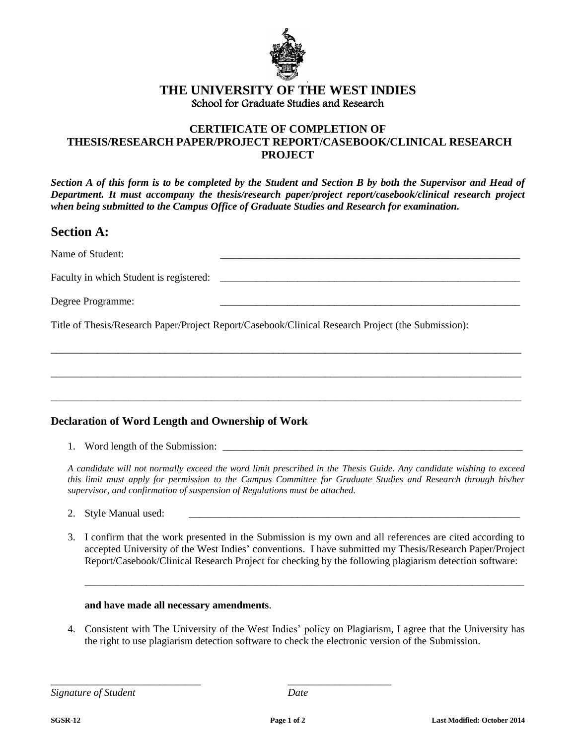

### **THE UNIVERSITY OF THE WEST INDIES** School for Graduate Studies and Research

### **CERTIFICATE OF COMPLETION OF THESIS/RESEARCH PAPER/PROJECT REPORT/CASEBOOK/CLINICAL RESEARCH PROJECT**

*Section A of this form is to be completed by the Student and Section B by both the Supervisor and Head of Department. It must accompany the thesis/research paper/project report/casebook/clinical research project when being submitted to the Campus Office of Graduate Studies and Research for examination.*

## **Section A:**

| Name of Student:                        |  |
|-----------------------------------------|--|
| Faculty in which Student is registered: |  |
| Degree Programme:                       |  |

\_\_\_\_\_\_\_\_\_\_\_\_\_\_\_\_\_\_\_\_\_\_\_\_\_\_\_\_\_\_\_\_\_\_\_\_\_\_\_\_\_\_\_\_\_\_\_\_\_\_\_\_\_\_\_\_\_\_\_\_\_\_\_\_\_\_\_\_\_\_\_\_\_\_\_\_\_\_\_\_\_\_\_\_\_\_\_\_\_\_\_

\_\_\_\_\_\_\_\_\_\_\_\_\_\_\_\_\_\_\_\_\_\_\_\_\_\_\_\_\_\_\_\_\_\_\_\_\_\_\_\_\_\_\_\_\_\_\_\_\_\_\_\_\_\_\_\_\_\_\_\_\_\_\_\_\_\_\_\_\_\_\_\_\_\_\_\_\_\_\_\_\_\_\_\_\_\_\_\_\_\_\_

\_\_\_\_\_\_\_\_\_\_\_\_\_\_\_\_\_\_\_\_\_\_\_\_\_\_\_\_\_\_\_\_\_\_\_\_\_\_\_\_\_\_\_\_\_\_\_\_\_\_\_\_\_\_\_\_\_\_\_\_\_\_\_\_\_\_\_\_\_\_\_\_\_\_\_\_\_\_\_\_\_\_\_\_\_\_\_\_\_\_\_

Title of Thesis/Research Paper/Project Report/Casebook/Clinical Research Project (the Submission):

#### **Declaration of Word Length and Ownership of Work**

1. Word length of the Submission:

*A candidate will not normally exceed the word limit prescribed in the Thesis Guide. Any candidate wishing to exceed this limit must apply for permission to the Campus Committee for Graduate Studies and Research through his/her supervisor, and confirmation of suspension of Regulations must be attached.* 

- 2. Style Manual used:
- 3. I confirm that the work presented in the Submission is my own and all references are cited according to accepted University of the West Indies' conventions. I have submitted my Thesis/Research Paper/Project Report/Casebook/Clinical Research Project for checking by the following plagiarism detection software:

\_\_\_\_\_\_\_\_\_\_\_\_\_\_\_\_\_\_\_\_\_\_\_\_\_\_\_\_\_\_\_\_\_\_\_\_\_\_\_\_\_\_\_\_\_\_\_\_\_\_\_\_\_\_\_\_\_\_\_\_\_\_\_\_\_\_\_\_\_\_\_\_\_\_\_\_\_\_\_\_\_\_\_\_\_

#### **and have made all necessary amendments**.

\_\_\_\_\_\_\_\_\_\_\_\_\_\_\_\_\_\_\_\_\_\_\_\_\_\_\_\_\_ \_\_\_\_\_\_\_\_\_\_\_\_\_\_\_\_\_\_\_\_

4. Consistent with The University of the West Indies' policy on Plagiarism, I agree that the University has the right to use plagiarism detection software to check the electronic version of the Submission.

*Signature of Student Date*